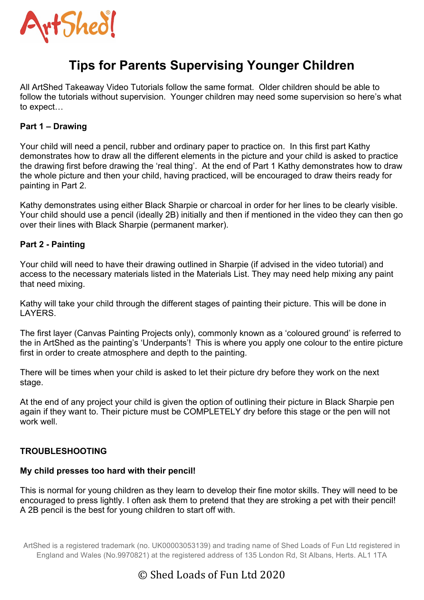

# **Tips for Parents Supervising Younger Children**

All ArtShed Takeaway Video Tutorials follow the same format. Older children should be able to follow the tutorials without supervision. Younger children may need some supervision so here's what to expect…

# **Part 1 – Drawing**

Your child will need a pencil, rubber and ordinary paper to practice on. In this first part Kathy demonstrates how to draw all the different elements in the picture and your child is asked to practice the drawing first before drawing the 'real thing'. At the end of Part 1 Kathy demonstrates how to draw the whole picture and then your child, having practiced, will be encouraged to draw theirs ready for painting in Part 2.

Kathy demonstrates using either Black Sharpie or charcoal in order for her lines to be clearly visible. Your child should use a pencil (ideally 2B) initially and then if mentioned in the video they can then go over their lines with Black Sharpie (permanent marker).

# **Part 2 - Painting**

Your child will need to have their drawing outlined in Sharpie (if advised in the video tutorial) and access to the necessary materials listed in the Materials List. They may need help mixing any paint that need mixing.

Kathy will take your child through the different stages of painting their picture. This will be done in LAYERS.

The first layer (Canvas Painting Projects only), commonly known as a 'coloured ground' is referred to the in ArtShed as the painting's 'Underpants'! This is where you apply one colour to the entire picture first in order to create atmosphere and depth to the painting.

There will be times when your child is asked to let their picture dry before they work on the next stage.

At the end of any project your child is given the option of outlining their picture in Black Sharpie pen again if they want to. Their picture must be COMPLETELY dry before this stage or the pen will not work well.

#### **TROUBLESHOOTING**

#### **My child presses too hard with their pencil!**

This is normal for young children as they learn to develop their fine motor skills. They will need to be encouraged to press lightly. I often ask them to pretend that they are stroking a pet with their pencil! A 2B pencil is the best for young children to start off with.

ArtShed is a registered trademark (no. UK00003053139) and trading name of Shed Loads of Fun Ltd registered in England and Wales (No.9970821) at the registered address of 135 London Rd, St Albans, Herts. AL1 1TA

# © Shed Loads of Fun Ltd 2020